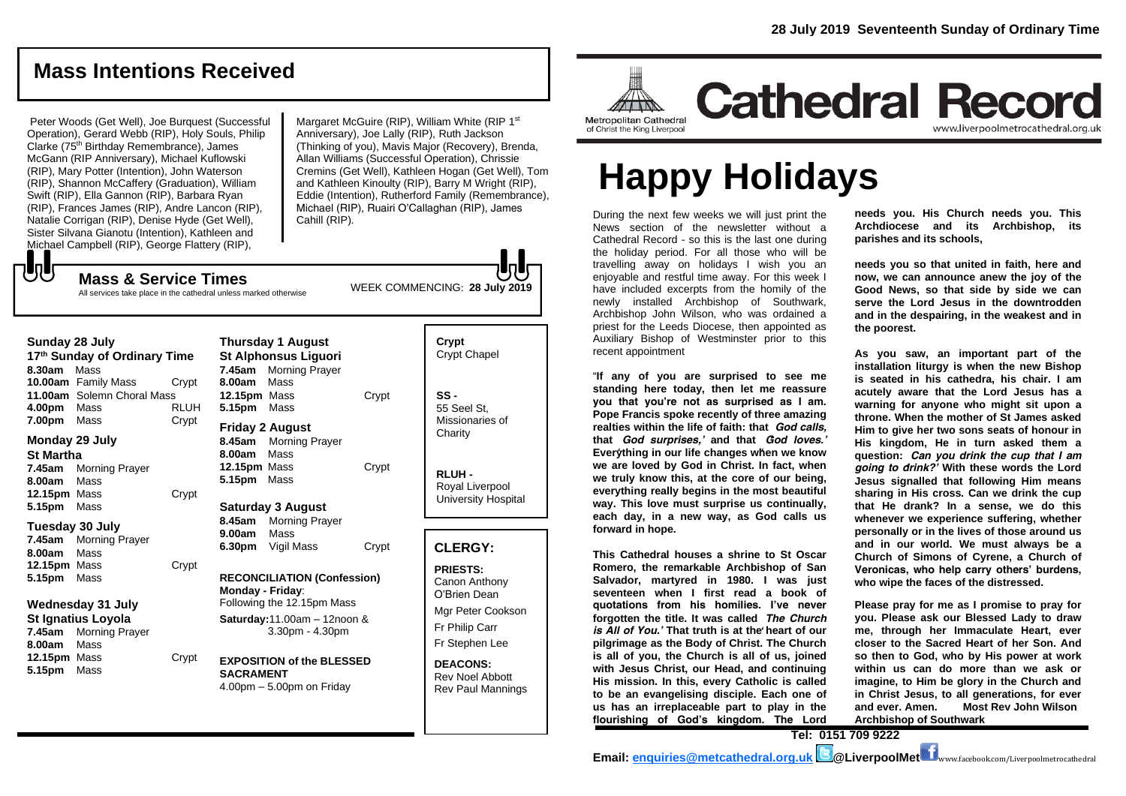## **Mass Intentions Received**

Peter Woods (Get Well), Joe Burquest (Successful Operation), Gerard Webb (RIP), Holy Souls, Philip Clarke (75th Birthday Remembrance), James McGann (RIP Anniversary), Michael Kuflowski (RIP), Mary Potter (Intention), John Waterson (RIP), Shannon McCaffery (Graduation), William Swift (RIP), Ella Gannon (RIP), Barbara Ryan (RIP), Frances James (RIP), Andre Lancon (RIP), Natalie Corrigan (RIP), Denise Hyde (Get Well), Sister Silvana Gianotu (Intention), Kathleen and Michael Campbell (RIP), George Flattery (RIP),

Margaret McGuire (RIP), William White (RIP 1st) Anniversary), Joe Lally (RIP), Ruth Jackson (Thinking of you), Mavis Major (Recovery), Brenda, Allan Williams (Successful Operation), Chrissie Cremins (Get Well), Kathleen Hogan (Get Well), Tom and Kathleen Kinoulty (RIP), Barry M Wright (RIP), Eddie (Intention), Rutherford Family (Remembrance), Michael (RIP), Ruairi O'Callaghan (RIP), James Cahill (RIP).

WEEK COMMENCING: **28 July 2019**

All services take place in the cathedral unless marked otherwise

**Mass & Service Times**

もし

| Sunday 28 July<br>17th Sunday of Ordinary Time<br>Mass<br>8.30am<br><b>10.00am</b> Family Mass<br>Crypt |                                    |             | Thursday 1 August<br><b>St Alphonsus Liguori</b><br>Morning Prayer<br>7.45am<br>Mass<br>8.00am     |                                                                                 |                                              | Crypt<br>Crypt Chap                                            |
|---------------------------------------------------------------------------------------------------------|------------------------------------|-------------|----------------------------------------------------------------------------------------------------|---------------------------------------------------------------------------------|----------------------------------------------|----------------------------------------------------------------|
| 4.00pm                                                                                                  | 11.00am Solemn Choral Mass<br>Mass | <b>RLUH</b> | 12.15pm Mass<br>5.15pm Mass                                                                        |                                                                                 | Crypt                                        | $SS -$<br>55 Seel St,                                          |
| 7.00pm<br>Monday 29 July<br><b>St Martha</b>                                                            | Mass                               | Crypt       | 8.45am<br>8.00am                                                                                   | <b>Friday 2 August</b><br><b>Morning Prayer</b><br>Mass                         |                                              | Missionaries<br>Charity                                        |
| 7.45am<br>8.00am<br>12.15pm Mass                                                                        | <b>Morning Prayer</b><br>Mass      | Crypt       | 12.15pm Mass<br>5.15pm                                                                             | Mass                                                                            | Crypt                                        | RLUH-<br>Royal Liver<br>University H                           |
| 5.15pm<br>Mass<br>Tuesday 30 July<br>7.45am<br>Morning Prayer                                           |                                    |             | <b>Saturday 3 August</b><br>8.45am<br><b>Morning Prayer</b><br>Mass<br>9.00am<br>6.30pm Vigil Mass |                                                                                 |                                              |                                                                |
| 8.00am<br>12.15pm Mass<br>5.15pm                                                                        | Mass<br>Mass                       | Crypt       | Monday - Friday:                                                                                   | <b>RECONCILIATION (Confession)</b>                                              | Crypt                                        | <b>CLERGY:</b><br><b>PRIESTS:</b><br>Canon Anth<br>O'Brien Dea |
| <b>Wednesday 31 July</b><br>St Ignatius Loyola<br>7.45am<br><b>Morning Prayer</b><br>8.00am<br>Mass     |                                    |             | Following the 12.15pm Mass<br>Saturday: 11.00am - 12noon &<br>3.30pm - 4.30pm                      |                                                                                 | Mgr Peter C<br>Fr Philip Car<br>Fr Stephen I |                                                                |
| 12.15pm Mass<br>5.15pm                                                                                  | Mass                               | Crypt       | <b>SACRAMENT</b>                                                                                   | <b>EXPOSITION of the BLESSED</b><br>$4.00 \text{pm} - 5.00 \text{pm}$ on Friday |                                              | <b>DEACONS:</b><br><b>Rev Noel Ab</b><br>Rev Paul Ma           |





# **Cathedral Record** www.liverpoolmetrocathedral.org.uk

# **Happy Holidays**

During the next few weeks we will just print the News section of the newsletter without a Cathedral Record - so this is the last one during the holiday period. For all those who will be travelling away on holidays I wish you an enjoyable and restful time away. For this week I have included excerpts from the homily of the newly installed Archbishop of Southwark, Archbishop John Wilson, who was ordained a priest for the Leeds Diocese, then appointed as Auxiliary Bishop of Westminster prior to this recent appointment

"**If any of you are surprised to see me standing here today, then let me reassure you that you're not as surprised as I am. Pope Francis spoke recently of three amazing realties within the life of faith: that** *'God calls,*  **that** *'God surprises,'* **and that** *'God loves.'*  **Everything in our life changes when we know we are loved by God in Christ. In fact, when we truly know this, at the core of our being, everything really begins in the most beautiful way. This love must surprise us continually, each day, in a new way, as God calls us forward in hope.**

**This Cathedral houses a shrine to St Oscar Romero, the remarkable Archbishop of San Salvador, martyred in 1980. I was just seventeen when I first read a book of quotations from his homilies. I've never forgotten the title. It was called** *'The Church is All of You.'* That truth is at the heart of our **pilgrimage as the Body of Christ. The Church is all of you, the Church is all of us, joined with Jesus Christ, our Head, and continuing His mission. In this, every Catholic is called to be an evangelising disciple. Each one of us has an irreplaceable part to play in the flourishing of God's kingdom. The Lord** 

**needs you. His Church needs you. This Archdiocese and its Archbishop, its parishes and its schools,** 

**needs you so that united in faith, here and now, we can announce anew the joy of the Good News, so that side by side we can serve the Lord Jesus in the downtrodden and in the despairing, in the weakest and in the poorest.**

**As you saw, an important part of the installation liturgy is when the new Bishop is seated in his** *cathedra***, his chair. I am acutely aware that the Lord Jesus has a warning for anyone who might sit upon a throne. When the mother of St James asked Him to give her two sons seats of honour in His kingdom, He in turn asked them a question:** *'Can you drink the cup that I am going to drink?'* **With these words the Lord Jesus signalled that following Him means sharing in His cross. Can we drink the cup that He drank? In a sense, we do this whenever we experience suffering, whether personally or in the lives of those around us and in our world. We must always be a Church of Simons of Cyrene, a Church of Veronicas, who help carry others' burdens, who wipe the faces of the distressed.** 

**Please pray for me as I promise to pray for you. Please ask our Blessed Lady to draw me, through her Immaculate Heart, ever closer to the Sacred Heart of her Son. And so then to God, who by His power at work within us can do more than we ask or imagine, to Him be glory in the Church and in Christ Jesus, to all generations, for ever and ever. Amen. Most Rev John Wilson Archbishop of Southwark**

**Tel: 0151 709 9222**